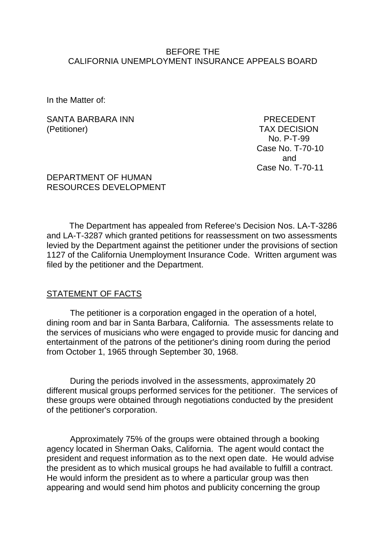#### BEFORE THE CALIFORNIA UNEMPLOYMENT INSURANCE APPEALS BOARD

In the Matter of:

#### SANTA BARBARA INN PRECEDENT (Petitioner) TAX DECISION

 No. P-T-99 Case No. T-70-10 and Case No. T-70-11

### DEPARTMENT OF HUMAN RESOURCES DEVELOPMENT

The Department has appealed from Referee's Decision Nos. LA-T-3286 and LA-T-3287 which granted petitions for reassessment on two assessments levied by the Department against the petitioner under the provisions of section 1127 of the California Unemployment Insurance Code. Written argument was filed by the petitioner and the Department.

### STATEMENT OF FACTS

The petitioner is a corporation engaged in the operation of a hotel, dining room and bar in Santa Barbara, California. The assessments relate to the services of musicians who were engaged to provide music for dancing and entertainment of the patrons of the petitioner's dining room during the period from October 1, 1965 through September 30, 1968.

During the periods involved in the assessments, approximately 20 different musical groups performed services for the petitioner. The services of these groups were obtained through negotiations conducted by the president of the petitioner's corporation.

Approximately 75% of the groups were obtained through a booking agency located in Sherman Oaks, California. The agent would contact the president and request information as to the next open date. He would advise the president as to which musical groups he had available to fulfill a contract. He would inform the president as to where a particular group was then appearing and would send him photos and publicity concerning the group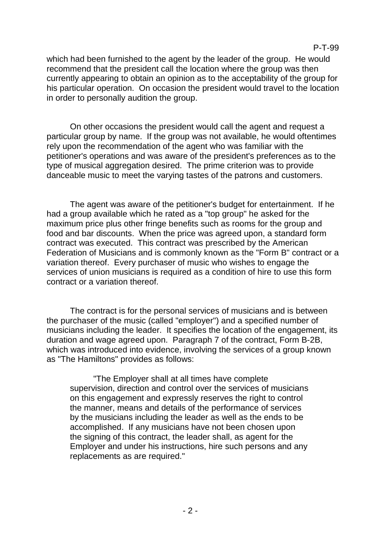P-T-99

which had been furnished to the agent by the leader of the group. He would recommend that the president call the location where the group was then currently appearing to obtain an opinion as to the acceptability of the group for his particular operation. On occasion the president would travel to the location in order to personally audition the group.

On other occasions the president would call the agent and request a particular group by name. If the group was not available, he would oftentimes rely upon the recommendation of the agent who was familiar with the petitioner's operations and was aware of the president's preferences as to the type of musical aggregation desired. The prime criterion was to provide danceable music to meet the varying tastes of the patrons and customers.

The agent was aware of the petitioner's budget for entertainment. If he had a group available which he rated as a "top group" he asked for the maximum price plus other fringe benefits such as rooms for the group and food and bar discounts. When the price was agreed upon, a standard form contract was executed. This contract was prescribed by the American Federation of Musicians and is commonly known as the "Form B" contract or a variation thereof. Every purchaser of music who wishes to engage the services of union musicians is required as a condition of hire to use this form contract or a variation thereof.

The contract is for the personal services of musicians and is between the purchaser of the music (called "employer") and a specified number of musicians including the leader. It specifies the location of the engagement, its duration and wage agreed upon. Paragraph 7 of the contract, Form B-2B, which was introduced into evidence, involving the services of a group known as "The Hamiltons" provides as follows:

"The Employer shall at all times have complete supervision, direction and control over the services of musicians on this engagement and expressly reserves the right to control the manner, means and details of the performance of services by the musicians including the leader as well as the ends to be accomplished. If any musicians have not been chosen upon the signing of this contract, the leader shall, as agent for the Employer and under his instructions, hire such persons and any replacements as are required."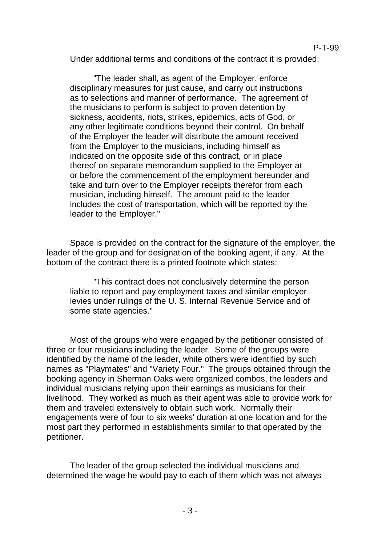Under additional terms and conditions of the contract it is provided:

"The leader shall, as agent of the Employer, enforce disciplinary measures for just cause, and carry out instructions as to selections and manner of performance. The agreement of the musicians to perform is subject to proven detention by sickness, accidents, riots, strikes, epidemics, acts of God, or any other legitimate conditions beyond their control. On behalf of the Employer the leader will distribute the amount received from the Employer to the musicians, including himself as indicated on the opposite side of this contract, or in place thereof on separate memorandum supplied to the Employer at or before the commencement of the employment hereunder and take and turn over to the Employer receipts therefor from each musician, including himself. The amount paid to the leader includes the cost of transportation, which will be reported by the leader to the Employer."

Space is provided on the contract for the signature of the employer, the leader of the group and for designation of the booking agent, if any. At the bottom of the contract there is a printed footnote which states:

"This contract does not conclusively determine the person liable to report and pay employment taxes and similar employer levies under rulings of the U. S. Internal Revenue Service and of some state agencies."

Most of the groups who were engaged by the petitioner consisted of three or four musicians including the leader. Some of the groups were identified by the name of the leader, while others were identified by such names as "Playmates" and "Variety Four." The groups obtained through the booking agency in Sherman Oaks were organized combos, the leaders and individual musicians relying upon their earnings as musicians for their livelihood. They worked as much as their agent was able to provide work for them and traveled extensively to obtain such work. Normally their engagements were of four to six weeks' duration at one location and for the most part they performed in establishments similar to that operated by the petitioner.

The leader of the group selected the individual musicians and determined the wage he would pay to each of them which was not always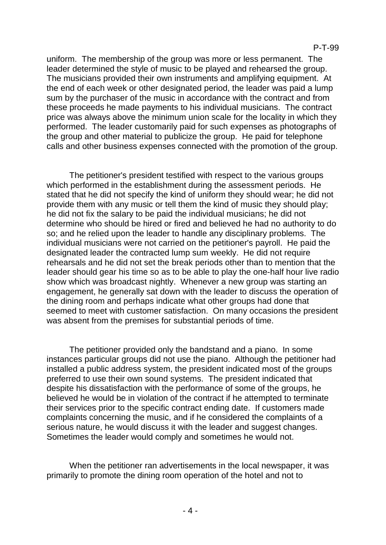uniform. The membership of the group was more or less permanent. The leader determined the style of music to be played and rehearsed the group. The musicians provided their own instruments and amplifying equipment. At the end of each week or other designated period, the leader was paid a lump sum by the purchaser of the music in accordance with the contract and from these proceeds he made payments to his individual musicians. The contract price was always above the minimum union scale for the locality in which they performed. The leader customarily paid for such expenses as photographs of the group and other material to publicize the group. He paid for telephone calls and other business expenses connected with the promotion of the group.

The petitioner's president testified with respect to the various groups which performed in the establishment during the assessment periods. He stated that he did not specify the kind of uniform they should wear; he did not provide them with any music or tell them the kind of music they should play; he did not fix the salary to be paid the individual musicians; he did not determine who should be hired or fired and believed he had no authority to do so; and he relied upon the leader to handle any disciplinary problems. The individual musicians were not carried on the petitioner's payroll. He paid the designated leader the contracted lump sum weekly. He did not require rehearsals and he did not set the break periods other than to mention that the leader should gear his time so as to be able to play the one-half hour live radio show which was broadcast nightly. Whenever a new group was starting an engagement, he generally sat down with the leader to discuss the operation of the dining room and perhaps indicate what other groups had done that seemed to meet with customer satisfaction. On many occasions the president was absent from the premises for substantial periods of time.

The petitioner provided only the bandstand and a piano. In some instances particular groups did not use the piano. Although the petitioner had installed a public address system, the president indicated most of the groups preferred to use their own sound systems. The president indicated that despite his dissatisfaction with the performance of some of the groups, he believed he would be in violation of the contract if he attempted to terminate their services prior to the specific contract ending date. If customers made complaints concerning the music, and if he considered the complaints of a serious nature, he would discuss it with the leader and suggest changes. Sometimes the leader would comply and sometimes he would not.

When the petitioner ran advertisements in the local newspaper, it was primarily to promote the dining room operation of the hotel and not to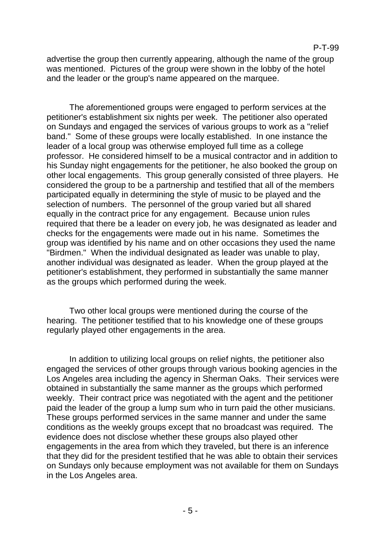advertise the group then currently appearing, although the name of the group was mentioned. Pictures of the group were shown in the lobby of the hotel and the leader or the group's name appeared on the marquee.

The aforementioned groups were engaged to perform services at the petitioner's establishment six nights per week. The petitioner also operated on Sundays and engaged the services of various groups to work as a "relief band." Some of these groups were locally established. In one instance the leader of a local group was otherwise employed full time as a college professor. He considered himself to be a musical contractor and in addition to his Sunday night engagements for the petitioner, he also booked the group on other local engagements. This group generally consisted of three players. He considered the group to be a partnership and testified that all of the members participated equally in determining the style of music to be played and the selection of numbers. The personnel of the group varied but all shared equally in the contract price for any engagement. Because union rules required that there be a leader on every job, he was designated as leader and checks for the engagements were made out in his name. Sometimes the group was identified by his name and on other occasions they used the name "Birdmen." When the individual designated as leader was unable to play, another individual was designated as leader. When the group played at the petitioner's establishment, they performed in substantially the same manner as the groups which performed during the week.

Two other local groups were mentioned during the course of the hearing. The petitioner testified that to his knowledge one of these groups regularly played other engagements in the area.

In addition to utilizing local groups on relief nights, the petitioner also engaged the services of other groups through various booking agencies in the Los Angeles area including the agency in Sherman Oaks. Their services were obtained in substantially the same manner as the groups which performed weekly. Their contract price was negotiated with the agent and the petitioner paid the leader of the group a lump sum who in turn paid the other musicians. These groups performed services in the same manner and under the same conditions as the weekly groups except that no broadcast was required. The evidence does not disclose whether these groups also played other engagements in the area from which they traveled, but there is an inference that they did for the president testified that he was able to obtain their services on Sundays only because employment was not available for them on Sundays in the Los Angeles area.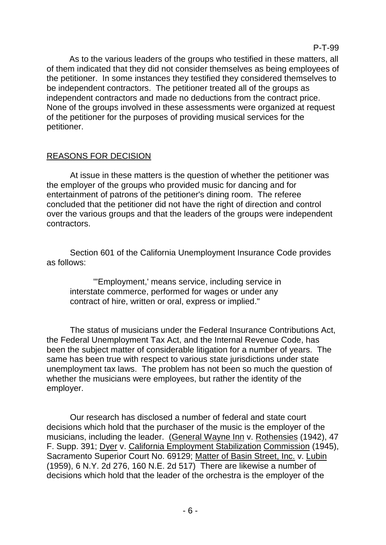As to the various leaders of the groups who testified in these matters, all of them indicated that they did not consider themselves as being employees of the petitioner. In some instances they testified they considered themselves to be independent contractors. The petitioner treated all of the groups as independent contractors and made no deductions from the contract price. None of the groups involved in these assessments were organized at request of the petitioner for the purposes of providing musical services for the petitioner.

# REASONS FOR DECISION

At issue in these matters is the question of whether the petitioner was the employer of the groups who provided music for dancing and for entertainment of patrons of the petitioner's dining room. The referee concluded that the petitioner did not have the right of direction and control over the various groups and that the leaders of the groups were independent contractors.

Section 601 of the California Unemployment Insurance Code provides as follows:

"'Employment,' means service, including service in interstate commerce, performed for wages or under any contract of hire, written or oral, express or implied."

The status of musicians under the Federal Insurance Contributions Act, the Federal Unemployment Tax Act, and the Internal Revenue Code, has been the subject matter of considerable litigation for a number of years. The same has been true with respect to various state jurisdictions under state unemployment tax laws. The problem has not been so much the question of whether the musicians were employees, but rather the identity of the employer.

Our research has disclosed a number of federal and state court decisions which hold that the purchaser of the music is the employer of the musicians, including the leader. (General Wayne Inn v. Rothensies (1942), 47 F. Supp. 391; Dyer v. California Employment Stabilization Commission (1945), Sacramento Superior Court No. 69129; Matter of Basin Street, Inc. v. Lubin (1959), 6 N.Y. 2d 276, 160 N.E. 2d 517) There are likewise a number of decisions which hold that the leader of the orchestra is the employer of the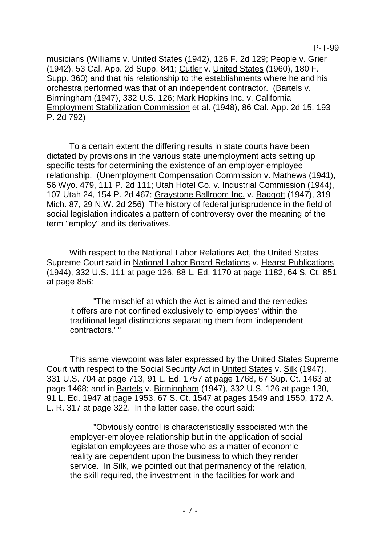P-T-99

musicians (Williams v. United States (1942), 126 F. 2d 129; People v. Grier (1942), 53 Cal. App. 2d Supp. 841; Cutler v. United States (1960), 180 F. Supp. 360) and that his relationship to the establishments where he and his orchestra performed was that of an independent contractor. (Bartels v. Birmingham (1947), 332 U.S. 126; Mark Hopkins Inc. v. California Employment Stabilization Commission et al. (1948), 86 Cal. App. 2d 15, 193 P. 2d 792)

To a certain extent the differing results in state courts have been dictated by provisions in the various state unemployment acts setting up specific tests for determining the existence of an employer-employee relationship. (Unemployment Compensation Commission v. Mathews (1941), 56 Wyo. 479, 111 P. 2d 111; Utah Hotel Co. v. Industrial Commission (1944), 107 Utah 24, 154 P. 2d 467; Graystone Ballroom Inc. v. Baggott (1947), 319 Mich. 87, 29 N.W. 2d 256) The history of federal jurisprudence in the field of social legislation indicates a pattern of controversy over the meaning of the term "employ" and its derivatives.

With respect to the National Labor Relations Act, the United States Supreme Court said in National Labor Board Relations v. Hearst Publications (1944), 332 U.S. 111 at page 126, 88 L. Ed. 1170 at page 1182, 64 S. Ct. 851 at page 856:

"The mischief at which the Act is aimed and the remedies it offers are not confined exclusively to 'employees' within the traditional legal distinctions separating them from 'independent contractors.' "

This same viewpoint was later expressed by the United States Supreme Court with respect to the Social Security Act in United States v. Silk (1947), 331 U.S. 704 at page 713, 91 L. Ed. 1757 at page 1768, 67 Sup. Ct. 1463 at page 1468; and in Bartels v. Birmingham (1947), 332 U.S. 126 at page 130, 91 L. Ed. 1947 at page 1953, 67 S. Ct. 1547 at pages 1549 and 1550, 172 A. L. R. 317 at page 322. In the latter case, the court said:

"Obviously control is characteristically associated with the employer-employee relationship but in the application of social legislation employees are those who as a matter of economic reality are dependent upon the business to which they render service. In Silk, we pointed out that permanency of the relation, the skill required, the investment in the facilities for work and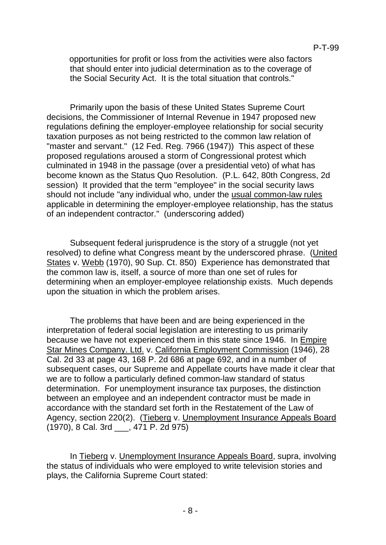opportunities for profit or loss from the activities were also factors that should enter into judicial determination as to the coverage of the Social Security Act. It is the total situation that controls."

Primarily upon the basis of these United States Supreme Court decisions, the Commissioner of Internal Revenue in 1947 proposed new regulations defining the employer-employee relationship for social security taxation purposes as not being restricted to the common law relation of "master and servant." (12 Fed. Reg. 7966 (1947)) This aspect of these proposed regulations aroused a storm of Congressional protest which culminated in 1948 in the passage (over a presidential veto) of what has become known as the Status Quo Resolution. (P.L. 642, 80th Congress, 2d session) It provided that the term "employee" in the social security laws should not include "any individual who, under the usual common-law rules applicable in determining the employer-employee relationship, has the status of an independent contractor." (underscoring added)

Subsequent federal jurisprudence is the story of a struggle (not yet resolved) to define what Congress meant by the underscored phrase. (United States v. Webb (1970), 90 Sup. Ct. 850) Experience has demonstrated that the common law is, itself, a source of more than one set of rules for determining when an employer-employee relationship exists. Much depends upon the situation in which the problem arises.

The problems that have been and are being experienced in the interpretation of federal social legislation are interesting to us primarily because we have not experienced them in this state since 1946. In Empire Star Mines Company. Ltd. v. California Employment Commission (1946), 28 Cal. 2d 33 at page 43, 168 P. 2d 686 at page 692, and in a number of subsequent cases, our Supreme and Appellate courts have made it clear that we are to follow a particularly defined common-law standard of status determination. For unemployment insurance tax purposes, the distinction between an employee and an independent contractor must be made in accordance with the standard set forth in the Restatement of the Law of Agency, section 220(2). (Tieberg v. Unemployment Insurance Appeals Board (1970), 8 Cal. 3rd \_\_\_, 471 P. 2d 975)

In Tieberg v. Unemployment Insurance Appeals Board, supra, involving the status of individuals who were employed to write television stories and plays, the California Supreme Court stated: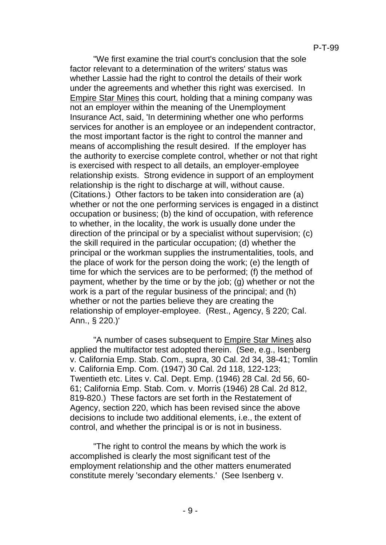"We first examine the trial court's conclusion that the sole factor relevant to a determination of the writers' status was whether Lassie had the right to control the details of their work under the agreements and whether this right was exercised. In Empire Star Mines this court, holding that a mining company was not an employer within the meaning of the Unemployment Insurance Act, said, 'In determining whether one who performs services for another is an employee or an independent contractor, the most important factor is the right to control the manner and means of accomplishing the result desired. If the employer has the authority to exercise complete control, whether or not that right is exercised with respect to all details, an employer-employee relationship exists. Strong evidence in support of an employment relationship is the right to discharge at will, without cause. (Citations.) Other factors to be taken into consideration are (a) whether or not the one performing services is engaged in a distinct occupation or business; (b) the kind of occupation, with reference to whether, in the locality, the work is usually done under the direction of the principal or by a specialist without supervision; (c) the skill required in the particular occupation; (d) whether the principal or the workman supplies the instrumentalities, tools, and the place of work for the person doing the work; (e) the length of time for which the services are to be performed; (f) the method of payment, whether by the time or by the job; (g) whether or not the work is a part of the regular business of the principal; and (h) whether or not the parties believe they are creating the relationship of employer-employee. (Rest., Agency, § 220; Cal. Ann., § 220.)'

"A number of cases subsequent to Empire Star Mines also applied the multifactor test adopted therein. (See, e.g., Isenberg v. California Emp. Stab. Com., supra, 30 Cal. 2d 34, 38-41; Tomlin v. California Emp. Com. (1947) 30 Cal. 2d 118, 122-123; Twentieth etc. Lites v. Cal. Dept. Emp. (1946) 28 Cal. 2d 56, 60- 61; California Emp. Stab. Com. v. Morris (1946) 28 Cal. 2d 812, 819-820.) These factors are set forth in the Restatement of Agency, section 220, which has been revised since the above decisions to include two additional elements, i.e., the extent of control, and whether the principal is or is not in business.

"The right to control the means by which the work is accomplished is clearly the most significant test of the employment relationship and the other matters enumerated constitute merely 'secondary elements.' (See Isenberg v.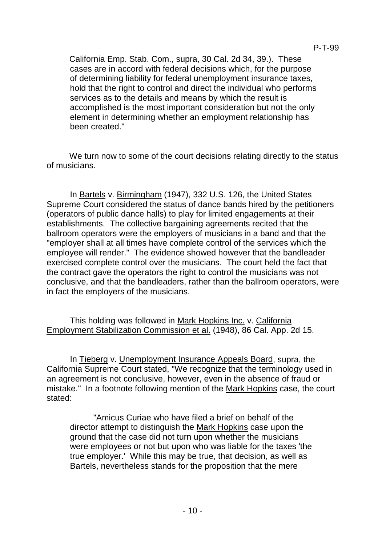California Emp. Stab. Com., supra, 30 Cal. 2d 34, 39.). These cases are in accord with federal decisions which, for the purpose of determining liability for federal unemployment insurance taxes, hold that the right to control and direct the individual who performs services as to the details and means by which the result is accomplished is the most important consideration but not the only element in determining whether an employment relationship has been created."

We turn now to some of the court decisions relating directly to the status of musicians.

In Bartels v. Birmingham (1947), 332 U.S. 126, the United States Supreme Court considered the status of dance bands hired by the petitioners (operators of public dance halls) to play for limited engagements at their establishments. The collective bargaining agreements recited that the ballroom operators were the employers of musicians in a band and that the "employer shall at all times have complete control of the services which the employee will render." The evidence showed however that the bandleader exercised complete control over the musicians. The court held the fact that the contract gave the operators the right to control the musicians was not conclusive, and that the bandleaders, rather than the ballroom operators, were in fact the employers of the musicians.

This holding was followed in Mark Hopkins Inc. v. California Employment Stabilization Commission et al. (1948), 86 Cal. App. 2d 15.

In Tieberg v. Unemployment Insurance Appeals Board, supra, the California Supreme Court stated, "We recognize that the terminology used in an agreement is not conclusive, however, even in the absence of fraud or mistake." In a footnote following mention of the Mark Hopkins case, the court stated:

"Amicus Curiae who have filed a brief on behalf of the director attempt to distinguish the Mark Hopkins case upon the ground that the case did not turn upon whether the musicians were employees or not but upon who was liable for the taxes 'the true employer.' While this may be true, that decision, as well as Bartels, nevertheless stands for the proposition that the mere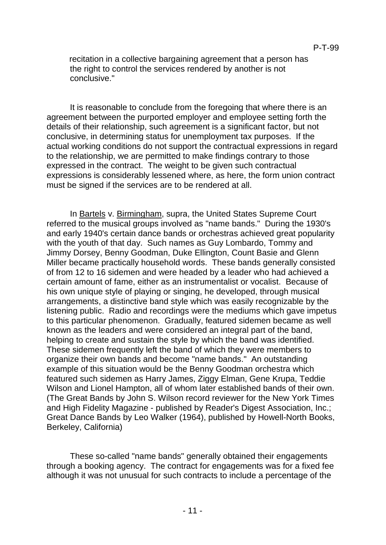recitation in a collective bargaining agreement that a person has the right to control the services rendered by another is not conclusive."

It is reasonable to conclude from the foregoing that where there is an agreement between the purported employer and employee setting forth the details of their relationship, such agreement is a significant factor, but not conclusive, in determining status for unemployment tax purposes. If the actual working conditions do not support the contractual expressions in regard to the relationship, we are permitted to make findings contrary to those expressed in the contract. The weight to be given such contractual expressions is considerably lessened where, as here, the form union contract must be signed if the services are to be rendered at all.

In Bartels v. Birmingham, supra, the United States Supreme Court referred to the musical groups involved as "name bands." During the 1930's and early 1940's certain dance bands or orchestras achieved great popularity with the youth of that day. Such names as Guy Lombardo, Tommy and Jimmy Dorsey, Benny Goodman, Duke Ellington, Count Basie and Glenn Miller became practically household words. These bands generally consisted of from 12 to 16 sidemen and were headed by a leader who had achieved a certain amount of fame, either as an instrumentalist or vocalist. Because of his own unique style of playing or singing, he developed, through musical arrangements, a distinctive band style which was easily recognizable by the listening public. Radio and recordings were the mediums which gave impetus to this particular phenomenon. Gradually, featured sidemen became as well known as the leaders and were considered an integral part of the band, helping to create and sustain the style by which the band was identified. These sidemen frequently left the band of which they were members to organize their own bands and become "name bands." An outstanding example of this situation would be the Benny Goodman orchestra which featured such sidemen as Harry James, Ziggy Elman, Gene Krupa, Teddie Wilson and Lionel Hampton, all of whom later established bands of their own. (The Great Bands by John S. Wilson record reviewer for the New York Times and High Fidelity Magazine - published by Reader's Digest Association, Inc.; Great Dance Bands by Leo Walker (1964), published by Howell-North Books, Berkeley, California)

These so-called "name bands" generally obtained their engagements through a booking agency. The contract for engagements was for a fixed fee although it was not unusual for such contracts to include a percentage of the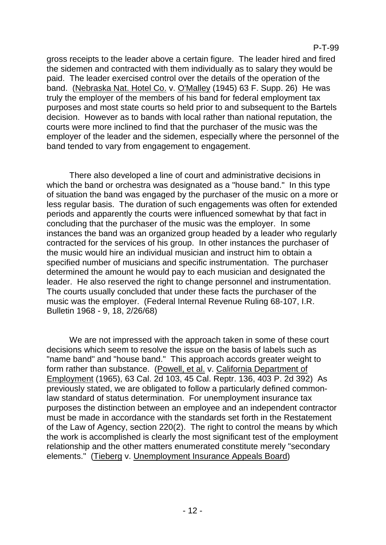P-T-99

gross receipts to the leader above a certain figure. The leader hired and fired the sidemen and contracted with them individually as to salary they would be paid. The leader exercised control over the details of the operation of the band. (Nebraska Nat. Hotel Co. v. O'Malley (1945) 63 F. Supp. 26) He was truly the employer of the members of his band for federal employment tax purposes and most state courts so held prior to and subsequent to the Bartels decision. However as to bands with local rather than national reputation, the courts were more inclined to find that the purchaser of the music was the employer of the leader and the sidemen, especially where the personnel of the band tended to vary from engagement to engagement.

There also developed a line of court and administrative decisions in which the band or orchestra was designated as a "house band." In this type of situation the band was engaged by the purchaser of the music on a more or less regular basis. The duration of such engagements was often for extended periods and apparently the courts were influenced somewhat by that fact in concluding that the purchaser of the music was the employer. In some instances the band was an organized group headed by a leader who regularly contracted for the services of his group. In other instances the purchaser of the music would hire an individual musician and instruct him to obtain a specified number of musicians and specific instrumentation. The purchaser determined the amount he would pay to each musician and designated the leader. He also reserved the right to change personnel and instrumentation. The courts usually concluded that under these facts the purchaser of the music was the employer. (Federal Internal Revenue Ruling 68-107, I.R. Bulletin 1968 - 9, 18, 2/26/68)

We are not impressed with the approach taken in some of these court decisions which seem to resolve the issue on the basis of labels such as "name band" and "house band." This approach accords greater weight to form rather than substance. (Powell, et al. v. California Department of Employment (1965), 63 Cal. 2d 103, 45 Cal. Reptr. 136, 403 P. 2d 392) As previously stated, we are obligated to follow a particularly defined commonlaw standard of status determination. For unemployment insurance tax purposes the distinction between an employee and an independent contractor must be made in accordance with the standards set forth in the Restatement of the Law of Agency, section 220(2). The right to control the means by which the work is accomplished is clearly the most significant test of the employment relationship and the other matters enumerated constitute merely "secondary elements." (Tieberg v. Unemployment Insurance Appeals Board)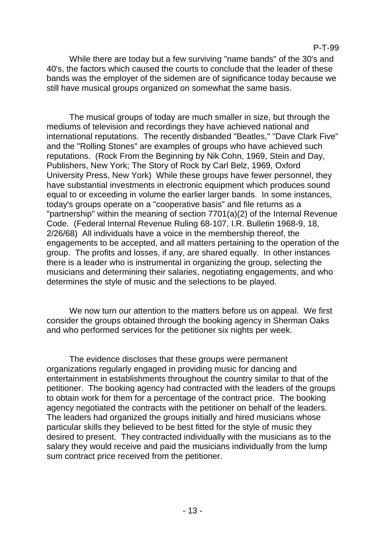While there are today but a few surviving "name bands" of the 30's and 40's, the factors which caused the courts to conclude that the leader of these bands was the employer of the sidemen are of significance today because we still have musical groups organized on somewhat the same basis.

The musical groups of today are much smaller in size, but through the mediums of television and recordings they have achieved national and international reputations. The recently disbanded "Beatles," "Dave Clark Five" and the "Rolling Stones" are examples of groups who have achieved such reputations. (Rock From the Beginning by Nik Cohn, 1969, Stein and Day, Publishers, New York; The Story of Rock by Carl Belz, 1969, Oxford University Press, New York) While these groups have fewer personnel, they have substantial investments in electronic equipment which produces sound equal to or exceeding in volume the earlier larger bands. In some instances, today's groups operate on a "cooperative basis" and file returns as a "partnership" within the meaning of section 7701(a)(2) of the Internal Revenue Code. (Federal Internal Revenue Ruling 68-107, I.R. Bulletin 1968-9, 18, 2/26/68) All individuals have a voice in the membership thereof, the engagements to be accepted, and all matters pertaining to the operation of the group. The profits and losses, if any, are shared equally. In other instances there is a leader who is instrumental in organizing the group, selecting the musicians and determining their salaries, negotiating engagements, and who determines the style of music and the selections to be played.

We now turn our attention to the matters before us on appeal. We first consider the groups obtained through the booking agency in Sherman Oaks and who performed services for the petitioner six nights per week.

The evidence discloses that these groups were permanent organizations regularly engaged in providing music for dancing and entertainment in establishments throughout the country similar to that of the petitioner. The booking agency had contracted with the leaders of the groups to obtain work for them for a percentage of the contract price. The booking agency negotiated the contracts with the petitioner on behalf of the leaders. The leaders had organized the groups initially and hired musicians whose particular skills they believed to be best fitted for the style of music they desired to present. They contracted individually with the musicians as to the salary they would receive and paid the musicians individually from the lump sum contract price received from the petitioner.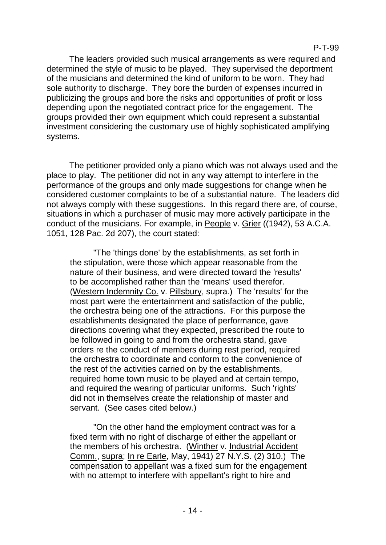The leaders provided such musical arrangements as were required and determined the style of music to be played. They supervised the deportment of the musicians and determined the kind of uniform to be worn. They had sole authority to discharge. They bore the burden of expenses incurred in publicizing the groups and bore the risks and opportunities of profit or loss depending upon the negotiated contract price for the engagement. The groups provided their own equipment which could represent a substantial investment considering the customary use of highly sophisticated amplifying systems.

The petitioner provided only a piano which was not always used and the place to play. The petitioner did not in any way attempt to interfere in the performance of the groups and only made suggestions for change when he considered customer complaints to be of a substantial nature. The leaders did not always comply with these suggestions. In this regard there are, of course, situations in which a purchaser of music may more actively participate in the conduct of the musicians. For example, in People v. Grier ((1942), 53 A.C.A. 1051, 128 Pac. 2d 207), the court stated:

"The 'things done' by the establishments, as set forth in the stipulation, were those which appear reasonable from the nature of their business, and were directed toward the 'results' to be accomplished rather than the 'means' used therefor. (Western Indemnity Co. v. Pillsbury, supra.) The 'results' for the most part were the entertainment and satisfaction of the public, the orchestra being one of the attractions. For this purpose the establishments designated the place of performance, gave directions covering what they expected, prescribed the route to be followed in going to and from the orchestra stand, gave orders re the conduct of members during rest period, required the orchestra to coordinate and conform to the convenience of the rest of the activities carried on by the establishments, required home town music to be played and at certain tempo, and required the wearing of particular uniforms. Such 'rights' did not in themselves create the relationship of master and servant. (See cases cited below.)

"On the other hand the employment contract was for a fixed term with no right of discharge of either the appellant or the members of his orchestra. (Winther v. Industrial Accident Comm., supra; In re Earle, May, 1941) 27 N.Y.S. (2) 310.) The compensation to appellant was a fixed sum for the engagement with no attempt to interfere with appellant's right to hire and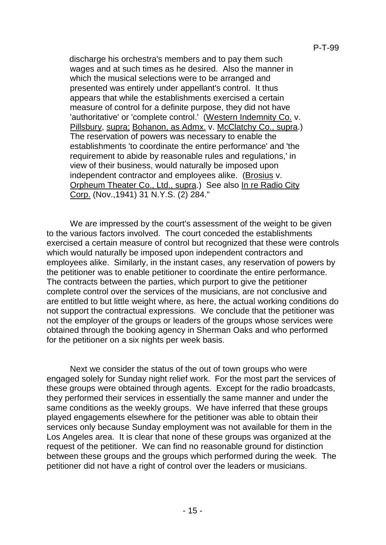discharge his orchestra's members and to pay them such wages and at such times as he desired. Also the manner in which the musical selections were to be arranged and presented was entirely under appellant's control. It thus appears that while the establishments exercised a certain measure of control for a definite purpose, they did not have 'authoritative' or 'complete control.' (Western Indemnity Co. v. Pillsbury, supra; Bohanon, as Admx. v. McClatchy Co., supra.) The reservation of powers was necessary to enable the establishments 'to coordinate the entire performance' and 'the requirement to abide by reasonable rules and regulations,' in view of their business, would naturally be imposed upon independent contractor and employees alike. (Brosius v. Orpheum Theater Co., Ltd., supra.) See also In re Radio City Corp. (Nov.,1941) 31 N.Y.S. (2) 284."

We are impressed by the court's assessment of the weight to be given to the various factors involved. The court conceded the establishments exercised a certain measure of control but recognized that these were controls which would naturally be imposed upon independent contractors and employees alike. Similarly, in the instant cases, any reservation of powers by the petitioner was to enable petitioner to coordinate the entire performance. The contracts between the parties, which purport to give the petitioner complete control over the services of the musicians, are not conclusive and are entitled to but little weight where, as here, the actual working conditions do not support the contractual expressions. We conclude that the petitioner was not the employer of the groups or leaders of the groups whose services were obtained through the booking agency in Sherman Oaks and who performed for the petitioner on a six nights per week basis.

Next we consider the status of the out of town groups who were engaged solely for Sunday night relief work. For the most part the services of these groups were obtained through agents. Except for the radio broadcasts, they performed their services in essentially the same manner and under the same conditions as the weekly groups. We have inferred that these groups played engagements elsewhere for the petitioner was able to obtain their services only because Sunday employment was not available for them in the Los Angeles area. It is clear that none of these groups was organized at the request of the petitioner. We can find no reasonable ground for distinction between these groups and the groups which performed during the week. The petitioner did not have a right of control over the leaders or musicians.